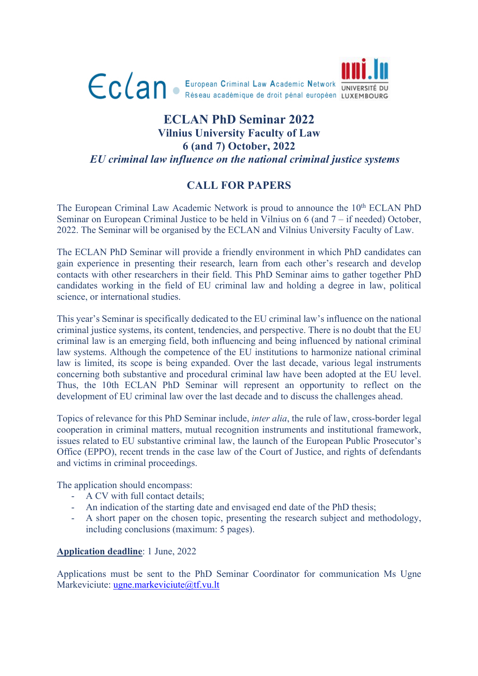

## **ECLAN PhD Seminar 2022 Vilnius University Faculty of Law 6 (and 7) October, 2022** *EU criminal law influence on the national criminal justice systems*

## **CALL FOR PAPERS**

The European Criminal Law Academic Network is proud to announce the 10<sup>th</sup> ECLAN PhD Seminar on European Criminal Justice to be held in Vilnius on 6 (and 7 – if needed) October, 2022. The Seminar will be organised by the ECLAN and Vilnius University Faculty of Law.

The ECLAN PhD Seminar will provide a friendly environment in which PhD candidates can gain experience in presenting their research, learn from each other's research and develop contacts with other researchers in their field. This PhD Seminar aims to gather together PhD candidates working in the field of EU criminal law and holding a degree in law, political science, or international studies.

This year's Seminar is specifically dedicated to the EU criminal law's influence on the national criminal justice systems, its content, tendencies, and perspective. There is no doubt that the EU criminal law is an emerging field, both influencing and being influenced by national criminal law systems. Although the competence of the EU institutions to harmonize national criminal law is limited, its scope is being expanded. Over the last decade, various legal instruments concerning both substantive and procedural criminal law have been adopted at the EU level. Thus, the 10th ECLAN PhD Seminar will represent an opportunity to reflect on the development of EU criminal law over the last decade and to discuss the challenges ahead.

Topics of relevance for this PhD Seminar include, *inter alia*, the rule of law, cross-border legal cooperation in criminal matters, mutual recognition instruments and institutional framework, issues related to EU substantive criminal law, the launch of the European Public Prosecutor's Office (EPPO), recent trends in the case law of the Court of Justice, and rights of defendants and victims in criminal proceedings.

The application should encompass:

- A CV with full contact details;
- An indication of the starting date and envisaged end date of the PhD thesis;
- A short paper on the chosen topic, presenting the research subject and methodology, including conclusions (maximum: 5 pages).

## **Application deadline**: 1 June, 2022

Applications must be sent to the PhD Seminar Coordinator for communication Ms Ugne Markeviciute: ugne.markeviciute@tf.vu.lt